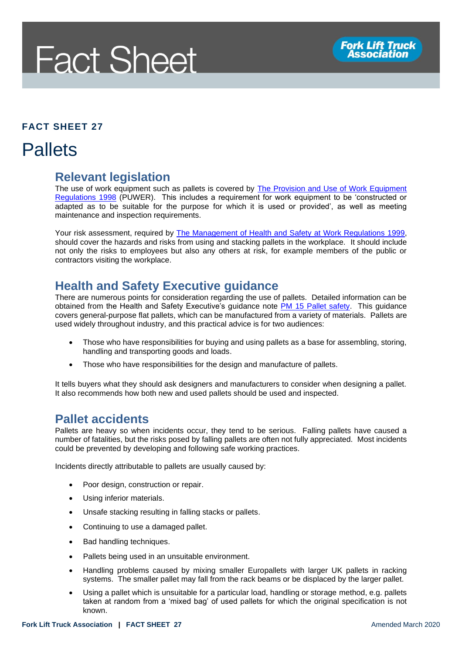# **Fact Sheet**

#### **FACT SHEET 27**

### **Pallets**

#### **Relevant legislation**

The use of work equipment such as pallets is covered by **The Provision and Use of Work Equipment** [Regulations 1998](http://www.legislation.gov.uk/uksi/1998/2306/contents/made) (PUWER). This includes a requirement for work equipment to be 'constructed or adapted as to be suitable for the purpose for which it is used or provided', as well as meeting maintenance and inspection requirements.

Your risk assessment, required by [The Management of Health and Safety at Work Regulations 1999,](http://www.legislation.gov.uk/uksi/1999/3242/contents/made) should cover the hazards and risks from using and stacking pallets in the workplace. It should include not only the risks to employees but also any others at risk, for example members of the public or contractors visiting the workplace.

#### **Health and Safety Executive guidance**

There are numerous points for consideration regarding the use of pallets. Detailed information can be obtained from the Health and Safety Executive's guidance note PM 15 [Pallet safety.](https://www.hse.gov.uk/pubns/pm15.pdf) This guidance covers general-purpose flat pallets, which can be manufactured from a variety of materials. Pallets are used widely throughout industry, and this practical advice is for two audiences:

- Those who have responsibilities for buying and using pallets as a base for assembling, storing, handling and transporting goods and loads.
- Those who have responsibilities for the design and manufacture of pallets.

It tells buyers what they should ask designers and manufacturers to consider when designing a pallet. It also recommends how both new and used pallets should be used and inspected.

#### **Pallet accidents**

Pallets are heavy so when incidents occur, they tend to be serious. Falling pallets have caused a number of fatalities, but the risks posed by falling pallets are often not fully appreciated. Most incidents could be prevented by developing and following safe working practices.

Incidents directly attributable to pallets are usually caused by:

- Poor design, construction or repair.
- Using inferior materials.
- Unsafe stacking resulting in falling stacks or pallets.
- Continuing to use a damaged pallet.
- Bad handling techniques.
- Pallets being used in an unsuitable environment.
- Handling problems caused by mixing smaller Europallets with larger UK pallets in racking systems. The smaller pallet may fall from the rack beams or be displaced by the larger pallet.
- Using a pallet which is unsuitable for a particular load, handling or storage method, e.g. pallets taken at random from a 'mixed bag' of used pallets for which the original specification is not known.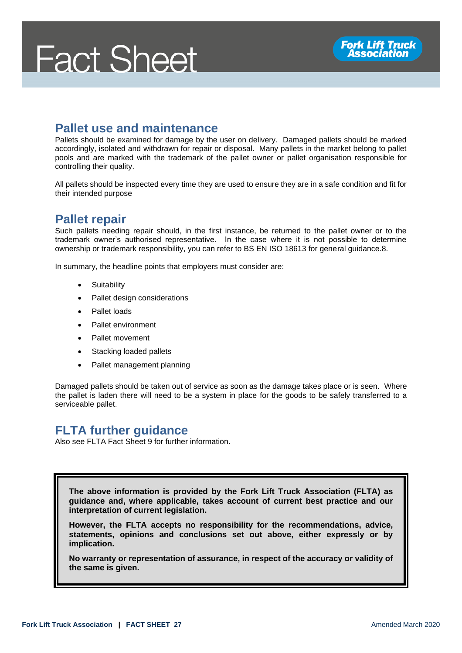## **Fact Sheet**

#### **Pallet use and maintenance**

Pallets should be examined for damage by the user on delivery. Damaged pallets should be marked accordingly, isolated and withdrawn for repair or disposal. Many pallets in the market belong to pallet pools and are marked with the trademark of the pallet owner or pallet organisation responsible for controlling their quality.

All pallets should be inspected every time they are used to ensure they are in a safe condition and fit for their intended purpose

#### **Pallet repair**

Such pallets needing repair should, in the first instance, be returned to the pallet owner or to the trademark owner's authorised representative. In the case where it is not possible to determine ownership or trademark responsibility, you can refer to BS EN ISO 18613 for general guidance.8.

In summary, the headline points that employers must consider are:

- **Suitability**
- Pallet design considerations
- Pallet loads
- Pallet environment
- Pallet movement
- Stacking loaded pallets
- Pallet management planning

Damaged pallets should be taken out of service as soon as the damage takes place or is seen. Where the pallet is laden there will need to be a system in place for the goods to be safely transferred to a serviceable pallet.

#### **FLTA further guidance**

Also see FLTA Fact Sheet 9 for further information.

**The above information is provided by the Fork Lift Truck Association (FLTA) as guidance and, where applicable, takes account of current best practice and our interpretation of current legislation.** 

**However, the FLTA accepts no responsibility for the recommendations, advice, statements, opinions and conclusions set out above, either expressly or by implication.**

**No warranty or representation of assurance, in respect of the accuracy or validity of the same is given.**